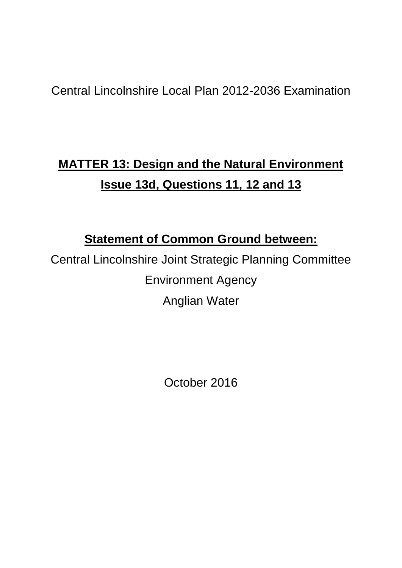## Central Lincolnshire Local Plan 2012-2036 Examination

# **MATTER 13: Design and the Natural Environment Issue 13d, Questions 11, 12 and 13**

### **Statement of Common Ground between:**

Central Lincolnshire Joint Strategic Planning Committee Environment Agency Anglian Water

October 2016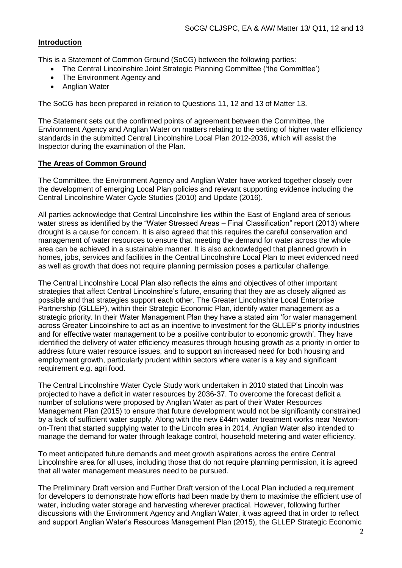#### **Introduction**

This is a Statement of Common Ground (SoCG) between the following parties:

- The Central Lincolnshire Joint Strategic Planning Committee ('the Committee')
- The Environment Agency and
- Anglian Water

The SoCG has been prepared in relation to Questions 11, 12 and 13 of Matter 13.

The Statement sets out the confirmed points of agreement between the Committee, the Environment Agency and Anglian Water on matters relating to the setting of higher water efficiency standards in the submitted Central Lincolnshire Local Plan 2012-2036, which will assist the Inspector during the examination of the Plan.

#### **The Areas of Common Ground**

The Committee, the Environment Agency and Anglian Water have worked together closely over the development of emerging Local Plan policies and relevant supporting evidence including the Central Lincolnshire Water Cycle Studies (2010) and Update (2016).

All parties acknowledge that Central Lincolnshire lies within the East of England area of serious water stress as identified by the "Water Stressed Areas – Final Classification" report (2013) where drought is a cause for concern. It is also agreed that this requires the careful conservation and management of water resources to ensure that meeting the demand for water across the whole area can be achieved in a sustainable manner. It is also acknowledged that planned growth in homes, jobs, services and facilities in the Central Lincolnshire Local Plan to meet evidenced need as well as growth that does not require planning permission poses a particular challenge.

The Central Lincolnshire Local Plan also reflects the aims and objectives of other important strategies that affect Central Lincolnshire's future, ensuring that they are as closely aligned as possible and that strategies support each other. The Greater Lincolnshire Local Enterprise Partnership (GLLEP), within their Strategic Economic Plan, identify water management as a strategic priority. In their Water Management Plan they have a stated aim 'for water management across Greater Lincolnshire to act as an incentive to investment for the GLLEP's priority industries and for effective water management to be a positive contributor to economic growth'. They have identified the delivery of water efficiency measures through housing growth as a priority in order to address future water resource issues, and to support an increased need for both housing and employment growth, particularly prudent within sectors where water is a key and significant requirement e.g. agri food.

The Central Lincolnshire Water Cycle Study work undertaken in 2010 stated that Lincoln was projected to have a deficit in water resources by 2036-37. To overcome the forecast deficit a number of solutions were proposed by Anglian Water as part of their Water Resources Management Plan (2015) to ensure that future development would not be significantly constrained by a lack of sufficient water supply. Along with the new £44m water treatment works near Newtonon-Trent that started supplying water to the Lincoln area in 2014, Anglian Water also intended to manage the demand for water through leakage control, household metering and water efficiency.

To meet anticipated future demands and meet growth aspirations across the entire Central Lincolnshire area for all uses, including those that do not require planning permission, it is agreed that all water management measures need to be pursued.

The Preliminary Draft version and Further Draft version of the Local Plan included a requirement for developers to demonstrate how efforts had been made by them to maximise the efficient use of water, including water storage and harvesting wherever practical. However, following further discussions with the Environment Agency and Anglian Water, it was agreed that in order to reflect and support Anglian Water's Resources Management Plan (2015), the GLLEP Strategic Economic